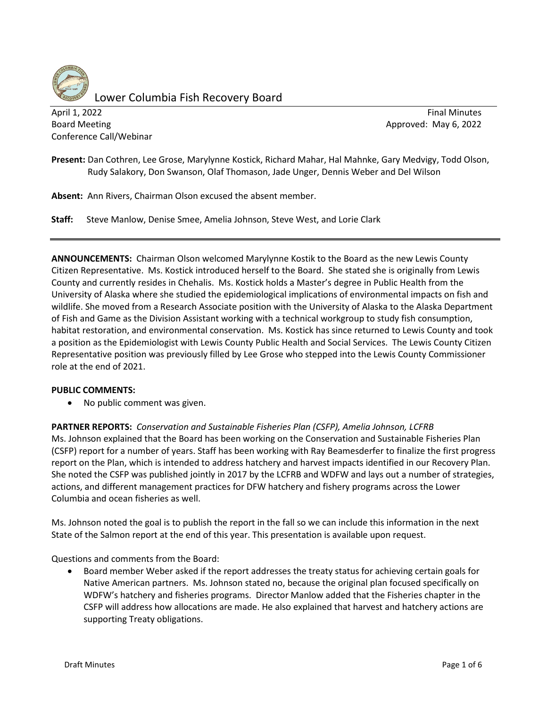

Lower Columbia Fish Recovery Board

April 1, 2022 **Final Minutes Final Minutes Final Minutes** Board Meeting **Board Meeting** Approved: May 6, 2022 Conference Call/Webinar

**Present:** Dan Cothren, Lee Grose, Marylynne Kostick, Richard Mahar, Hal Mahnke, Gary Medvigy, Todd Olson, Rudy Salakory, Don Swanson, Olaf Thomason, Jade Unger, Dennis Weber and Del Wilson

**Absent:** Ann Rivers, Chairman Olson excused the absent member.

**Staff:** Steve Manlow, Denise Smee, Amelia Johnson, Steve West, and Lorie Clark

**ANNOUNCEMENTS:** Chairman Olson welcomed Marylynne Kostik to the Board as the new Lewis County Citizen Representative. Ms. Kostick introduced herself to the Board. She stated she is originally from Lewis County and currently resides in Chehalis. Ms. Kostick holds a Master's degree in Public Health from the University of Alaska where she studied the epidemiological implications of environmental impacts on fish and wildlife. She moved from a Research Associate position with the University of Alaska to the Alaska Department of Fish and Game as the Division Assistant working with a technical workgroup to study fish consumption, habitat restoration, and environmental conservation. Ms. Kostick has since returned to Lewis County and took a position as the Epidemiologist with Lewis County Public Health and Social Services. The Lewis County Citizen Representative position was previously filled by Lee Grose who stepped into the Lewis County Commissioner role at the end of 2021.

#### **PUBLIC COMMENTS:**

• No public comment was given.

**PARTNER REPORTS:** *Conservation and Sustainable Fisheries Plan (CSFP), Amelia Johnson, LCFRB* Ms. Johnson explained that the Board has been working on the Conservation and Sustainable Fisheries Plan (CSFP) report for a number of years. Staff has been working with Ray Beamesderfer to finalize the first progress report on the Plan, which is intended to address hatchery and harvest impacts identified in our Recovery Plan. She noted the CSFP was published jointly in 2017 by the LCFRB and WDFW and lays out a number of strategies, actions, and different management practices for DFW hatchery and fishery programs across the Lower Columbia and ocean fisheries as well.

Ms. Johnson noted the goal is to publish the report in the fall so we can include this information in the next State of the Salmon report at the end of this year. This presentation is available upon request.

Questions and comments from the Board:

• Board member Weber asked if the report addresses the treaty status for achieving certain goals for Native American partners. Ms. Johnson stated no, because the original plan focused specifically on WDFW's hatchery and fisheries programs. Director Manlow added that the Fisheries chapter in the CSFP will address how allocations are made. He also explained that harvest and hatchery actions are supporting Treaty obligations.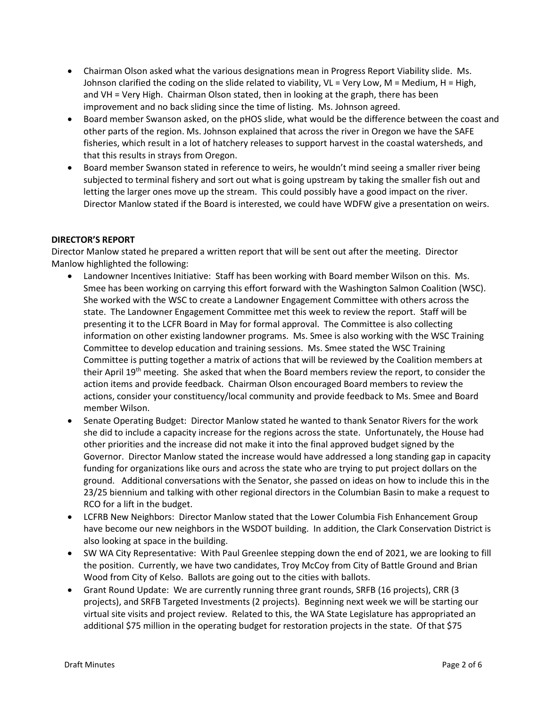- Chairman Olson asked what the various designations mean in Progress Report Viability slide. Ms. Johnson clarified the coding on the slide related to viability, VL = Very Low, M = Medium, H = High, and VH = Very High. Chairman Olson stated, then in looking at the graph, there has been improvement and no back sliding since the time of listing. Ms. Johnson agreed.
- Board member Swanson asked, on the pHOS slide, what would be the difference between the coast and other parts of the region. Ms. Johnson explained that across the river in Oregon we have the SAFE fisheries, which result in a lot of hatchery releases to support harvest in the coastal watersheds, and that this results in strays from Oregon.
- Board member Swanson stated in reference to weirs, he wouldn't mind seeing a smaller river being subjected to terminal fishery and sort out what is going upstream by taking the smaller fish out and letting the larger ones move up the stream. This could possibly have a good impact on the river. Director Manlow stated if the Board is interested, we could have WDFW give a presentation on weirs.

# **DIRECTOR'S REPORT**

Director Manlow stated he prepared a written report that will be sent out after the meeting. Director Manlow highlighted the following:

- Landowner Incentives Initiative: Staff has been working with Board member Wilson on this. Ms. Smee has been working on carrying this effort forward with the Washington Salmon Coalition (WSC). She worked with the WSC to create a Landowner Engagement Committee with others across the state. The Landowner Engagement Committee met this week to review the report. Staff will be presenting it to the LCFR Board in May for formal approval. The Committee is also collecting information on other existing landowner programs. Ms. Smee is also working with the WSC Training Committee to develop education and training sessions. Ms. Smee stated the WSC Training Committee is putting together a matrix of actions that will be reviewed by the Coalition members at their April 19<sup>th</sup> meeting. She asked that when the Board members review the report, to consider the action items and provide feedback. Chairman Olson encouraged Board members to review the actions, consider your constituency/local community and provide feedback to Ms. Smee and Board member Wilson.
- Senate Operating Budget: Director Manlow stated he wanted to thank Senator Rivers for the work she did to include a capacity increase for the regions across the state. Unfortunately, the House had other priorities and the increase did not make it into the final approved budget signed by the Governor. Director Manlow stated the increase would have addressed a long standing gap in capacity funding for organizations like ours and across the state who are trying to put project dollars on the ground. Additional conversations with the Senator, she passed on ideas on how to include this in the 23/25 biennium and talking with other regional directors in the Columbian Basin to make a request to RCO for a lift in the budget.
- LCFRB New Neighbors: Director Manlow stated that the Lower Columbia Fish Enhancement Group have become our new neighbors in the WSDOT building. In addition, the Clark Conservation District is also looking at space in the building.
- SW WA City Representative: With Paul Greenlee stepping down the end of 2021, we are looking to fill the position. Currently, we have two candidates, Troy McCoy from City of Battle Ground and Brian Wood from City of Kelso. Ballots are going out to the cities with ballots.
- Grant Round Update: We are currently running three grant rounds, SRFB (16 projects), CRR (3 projects), and SRFB Targeted Investments (2 projects). Beginning next week we will be starting our virtual site visits and project review. Related to this, the WA State Legislature has appropriated an additional \$75 million in the operating budget for restoration projects in the state. Of that \$75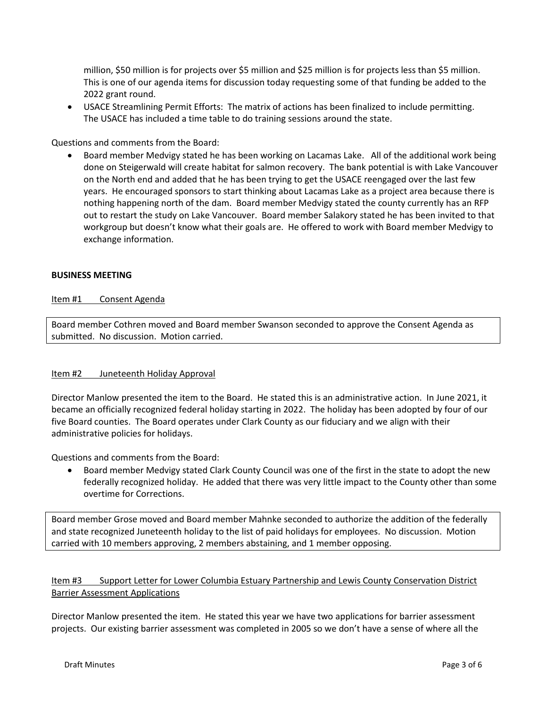million, \$50 million is for projects over \$5 million and \$25 million is for projects less than \$5 million. This is one of our agenda items for discussion today requesting some of that funding be added to the 2022 grant round.

• USACE Streamlining Permit Efforts: The matrix of actions has been finalized to include permitting. The USACE has included a time table to do training sessions around the state.

Questions and comments from the Board:

• Board member Medvigy stated he has been working on Lacamas Lake. All of the additional work being done on Steigerwald will create habitat for salmon recovery. The bank potential is with Lake Vancouver on the North end and added that he has been trying to get the USACE reengaged over the last few years. He encouraged sponsors to start thinking about Lacamas Lake as a project area because there is nothing happening north of the dam. Board member Medvigy stated the county currently has an RFP out to restart the study on Lake Vancouver. Board member Salakory stated he has been invited to that workgroup but doesn't know what their goals are. He offered to work with Board member Medvigy to exchange information.

#### **BUSINESS MEETING**

### Item #1 Consent Agenda

Board member Cothren moved and Board member Swanson seconded to approve the Consent Agenda as submitted. No discussion. Motion carried.

#### Item #2 Juneteenth Holiday Approval

Director Manlow presented the item to the Board. He stated this is an administrative action. In June 2021, it became an officially recognized federal holiday starting in 2022. The holiday has been adopted by four of our five Board counties. The Board operates under Clark County as our fiduciary and we align with their administrative policies for holidays.

Questions and comments from the Board:

• Board member Medvigy stated Clark County Council was one of the first in the state to adopt the new federally recognized holiday. He added that there was very little impact to the County other than some overtime for Corrections.

Board member Grose moved and Board member Mahnke seconded to authorize the addition of the federally and state recognized Juneteenth holiday to the list of paid holidays for employees. No discussion. Motion carried with 10 members approving, 2 members abstaining, and 1 member opposing.

# Item #3 Support Letter for Lower Columbia Estuary Partnership and Lewis County Conservation District Barrier Assessment Applications

Director Manlow presented the item. He stated this year we have two applications for barrier assessment projects. Our existing barrier assessment was completed in 2005 so we don't have a sense of where all the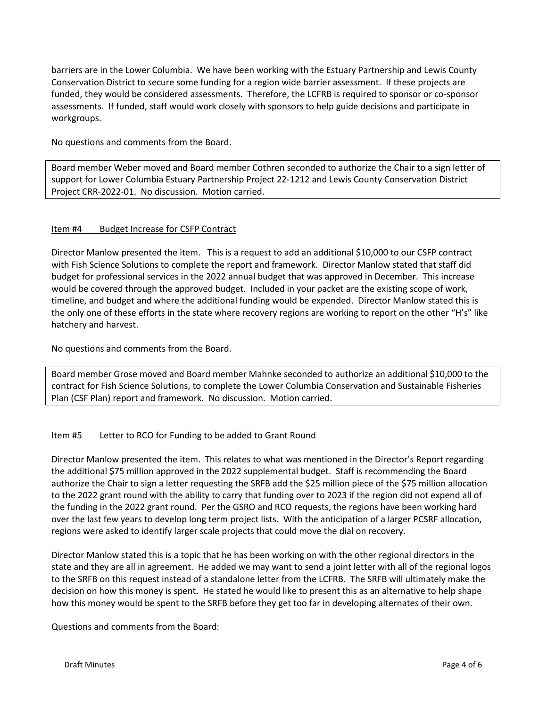barriers are in the Lower Columbia. We have been working with the Estuary Partnership and Lewis County Conservation District to secure some funding for a region wide barrier assessment. If these projects are funded, they would be considered assessments. Therefore, the LCFRB is required to sponsor or co-sponsor assessments. If funded, staff would work closely with sponsors to help guide decisions and participate in workgroups.

No questions and comments from the Board.

Board member Weber moved and Board member Cothren seconded to authorize the Chair to a sign letter of support for Lower Columbia Estuary Partnership Project 22-1212 and Lewis County Conservation District Project CRR-2022-01. No discussion. Motion carried.

## Item #4 Budget Increase for CSFP Contract

Director Manlow presented the item. This is a request to add an additional \$10,000 to our CSFP contract with Fish Science Solutions to complete the report and framework. Director Manlow stated that staff did budget for professional services in the 2022 annual budget that was approved in December. This increase would be covered through the approved budget. Included in your packet are the existing scope of work, timeline, and budget and where the additional funding would be expended. Director Manlow stated this is the only one of these efforts in the state where recovery regions are working to report on the other "H's" like hatchery and harvest.

No questions and comments from the Board.

Board member Grose moved and Board member Mahnke seconded to authorize an additional \$10,000 to the contract for Fish Science Solutions, to complete the Lower Columbia Conservation and Sustainable Fisheries Plan (CSF Plan) report and framework. No discussion. Motion carried.

## Item #5 Letter to RCO for Funding to be added to Grant Round

Director Manlow presented the item. This relates to what was mentioned in the Director's Report regarding the additional \$75 million approved in the 2022 supplemental budget. Staff is recommending the Board authorize the Chair to sign a letter requesting the SRFB add the \$25 million piece of the \$75 million allocation to the 2022 grant round with the ability to carry that funding over to 2023 if the region did not expend all of the funding in the 2022 grant round. Per the GSRO and RCO requests, the regions have been working hard over the last few years to develop long term project lists. With the anticipation of a larger PCSRF allocation, regions were asked to identify larger scale projects that could move the dial on recovery.

Director Manlow stated this is a topic that he has been working on with the other regional directors in the state and they are all in agreement. He added we may want to send a joint letter with all of the regional logos to the SRFB on this request instead of a standalone letter from the LCFRB. The SRFB will ultimately make the decision on how this money is spent. He stated he would like to present this as an alternative to help shape how this money would be spent to the SRFB before they get too far in developing alternates of their own.

Questions and comments from the Board: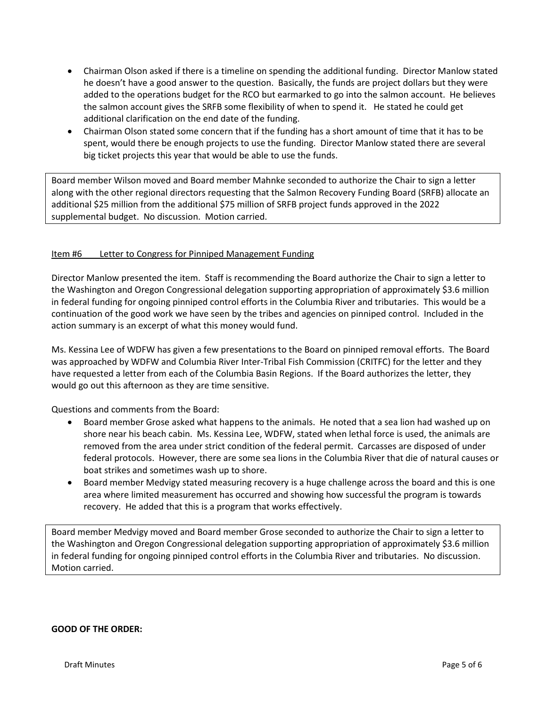- Chairman Olson asked if there is a timeline on spending the additional funding. Director Manlow stated he doesn't have a good answer to the question. Basically, the funds are project dollars but they were added to the operations budget for the RCO but earmarked to go into the salmon account. He believes the salmon account gives the SRFB some flexibility of when to spend it. He stated he could get additional clarification on the end date of the funding.
- Chairman Olson stated some concern that if the funding has a short amount of time that it has to be spent, would there be enough projects to use the funding. Director Manlow stated there are several big ticket projects this year that would be able to use the funds.

Board member Wilson moved and Board member Mahnke seconded to authorize the Chair to sign a letter along with the other regional directors requesting that the Salmon Recovery Funding Board (SRFB) allocate an additional \$25 million from the additional \$75 million of SRFB project funds approved in the 2022 supplemental budget. No discussion. Motion carried.

# Item #6 Letter to Congress for Pinniped Management Funding

Director Manlow presented the item. Staff is recommending the Board authorize the Chair to sign a letter to the Washington and Oregon Congressional delegation supporting appropriation of approximately \$3.6 million in federal funding for ongoing pinniped control efforts in the Columbia River and tributaries. This would be a continuation of the good work we have seen by the tribes and agencies on pinniped control. Included in the action summary is an excerpt of what this money would fund.

Ms. Kessina Lee of WDFW has given a few presentations to the Board on pinniped removal efforts. The Board was approached by WDFW and Columbia River Inter-Tribal Fish Commission (CRITFC) for the letter and they have requested a letter from each of the Columbia Basin Regions. If the Board authorizes the letter, they would go out this afternoon as they are time sensitive.

Questions and comments from the Board:

- Board member Grose asked what happens to the animals. He noted that a sea lion had washed up on shore near his beach cabin. Ms. Kessina Lee, WDFW, stated when lethal force is used, the animals are removed from the area under strict condition of the federal permit. Carcasses are disposed of under federal protocols. However, there are some sea lions in the Columbia River that die of natural causes or boat strikes and sometimes wash up to shore.
- Board member Medvigy stated measuring recovery is a huge challenge across the board and this is one area where limited measurement has occurred and showing how successful the program is towards recovery. He added that this is a program that works effectively.

Board member Medvigy moved and Board member Grose seconded to authorize the Chair to sign a letter to the Washington and Oregon Congressional delegation supporting appropriation of approximately \$3.6 million in federal funding for ongoing pinniped control efforts in the Columbia River and tributaries. No discussion. Motion carried.

## **GOOD OF THE ORDER:**